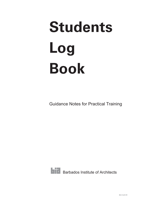# **Students Log Book**

Guidance Notes for Practical Training



**Barbados Institute of Architects**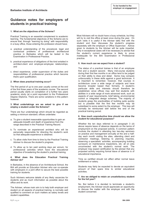#### **1. What are the objectives of the Scheme?**

Practical Training is an essential complement to academic learning. The fundamental objectives of the Scheme are to ensure that, through "learning by doing" with responsibility in a busy office, those entering the profession should have;

- a. practical understanding of the procedural, legal and contractual problems of professional architectural practice in Barbados which will be tested in the Examination in Professional Practice;
- b. practical experience of obligations of the kind entailed in architect-client and employer-employee relationships; and
- c. direct experience, under supervision of the duties and responsibilities of professional practice which become theirs upon qualification.

#### **2. When does practical training occur?**

The first period of up to one year usually comes at the end of the first three years of the academic course. The second period usually starts on completion of a further two years academic study (at a point equivalent to the Professional Degree /Diploma. There are some variations in this pattern however.

#### **3. What undertakings are we asked to give if we employ a student under the Scheme?**

There are four undertakings which should be regarded as setting a minimum standard; offices undertake:

- a. To give a student reasonable opportunities to gain an adequate breadth and depth of experience from the range described in the Practical Training Record.
- b. To nominate an experienced architect who will be personally responsible for directing the student's work so that adequate experience is obtained.
- c. To allow visits from time to time by the Practical Training Adviser to discuss the student's progress.
- d. To allow up to ten paid working days per annum, for professional activities which have the educational objective of broadening the student's practical training.

#### **4. What does the Education Practical Training Adviser do?**

In Barbados, in the absence of an Architectural School, the BIA will provide an Education Adviser who can co-operate with employers in a joint effort to secure the best possible training for students.

Such Advisers welcome details of any likely vacancies for students and as much information as possible about the office and its work.

The Adviser, whose main aim is to help both employer and student on all aspects of practical training, is normally well qualified to comment on such matters as salary levels and student capabilities.

Most Advisers will no doubt have a busy schedule, but they will try to visit the office at least once during the year. On such visits it is useful if the Adviser talks first with the student and then discusses the student's progress separately with the employer or Office Supervisor. Advice given to students by the Adviser will be quite impartial. Only in exceptional cases will it be necessary to advise that the student's current experience is likely to prove inadequate for the BIA Examination in Professional practice.

#### **5. How much can we expect from a student?**

The status of a practical trainee is that of an employee first and a student second. Many mid-course students during their first few months in an office tend to be judged on their ability to draw and detail. Some may compare unfavourably in these skills against a good technician. It is important to remember, however, that courses in architecture cover a wide range of subjects and have become broader based than formerly. A student's particular skills and interests should therefore be established, since offices may well find students with abilities in a wide range of more advanced work, such as aspects of user requirements, brief taking, environmental control or integrated design schemes. The majority of students grasp the practicalities of building quite quickly but is possible that the first few months may be subsidised to some extent by the employer. This loss will normally be reimbursed well before the end of the practical training period.

#### **6. How much unproductive time should we allow the student for educational purposes?**

Whether the ten days referred to in paragraph 3 (d) above require leave of absence depends on the terms of employment on the proposed activity. A common pattern involves the student in attending two two-day seminars on practice and management annually at the and a halfday each month visiting the sites, attending client and contractor meetings, listening to planning inquiries, observing a specialists' activities, accompanying building surveyors on maintenance inspections, etc; all on jobs unconnected with the student's normal work. The employer may expect certification by the adviser that any proposed activity requiring formal leave of absence is of educational importance.

Time so certified should not affect either normal leave entitlement or salary.

Students may fairly be expected to devote an equivalent amount of their spare time to similar educational activities.

#### **7. Are we obliged to retain an unsatisfactory student for the full year?**

No. But before it is decided to terminate a student's employment, the Adviser would appreciate an opportunity to discuss the matter with the employer and with the student concerned.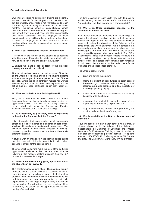Students are obtaining satisfactory training are generally advised to remain for the full period and usually do so, but it is probably undesirable, if not impracticable to reach a formal agreement tying the student for a full twelve months. The critical period for many students comes after about four to five months in the office. During this trial period, they may well have had little responsibility and some assurance from the employer of wider experience to come will be welcome to them at this stage. A period of employment of less than three months duration will not normally be accepted for the purposes of the Scheme.

#### **8. What if our workload is reduced unexpectedly?**

It is seldom in the interest of any student to be retained with little to do. If practicable, retain the student until a new job has been found and contact the Adviser.

#### **9. Should we make a special team of the practical training students in our office?**

This technique has been successful in some offices but on the whole the objective should be to involve students with as many people of varied experience in the office as possible. Where the all-student team method has worked satisfactorily, the project has been relatively small and the set-up has not been continued longer than about six months.

#### **10. What use is the Practical Training Record?**

First, as a checklist for both student and Office Supervisor to ensure that as broad a coverage is given as opportunity allows. Second, as an easily assessed record, which will show the Professional Practice Examiner the breadth of a candidate's training.

#### **11. Is it necessary to give every kind of experience included in the Practical Training Record?**

It is not intended that every student should necessarily obtain all the different kinds of experience in each office, which would clearly be impracticable in many cases. The minimum period of two years practical in training, however, gives the chance to work in two or three quite different situations.

A student with an imbalance in the training gained during the first year will obviously bear this in mind when applying to offices for the second period.

The student should aim to make the most of the particular opportunities available at the time, and must take the initiative in this respect, seeking guidance from the BIA on what it is reasonable to expect.

#### **12. What if we have nothing going up on site which the student can be involved?**

This problem happens quite often. The next best thing is to ensure that the student maintains a continual watch on some job either in the office or even in that of another practice. Local government offices are sometimes helpful in this respect the ideal job on which to gain site experience is one just large enough to carry a permanent clerk of works. A short written progress report should be rendered by the student to the appropriate job architect the day after each visit.

The time occupied by such visits may with fairness be divided equally between the student's own time and the "unproductive" ten days referred to in paragraph 3 (d).

#### **13. Why is an Office Supervisor essential to the Scheme and what is his role?**

One person should be responsible for supervising and guiding the student's practical training so that the range quality and depth of the activities undertaken shall be such as to satisfy the objectives of the Scheme. In the large office, the Office Supervisor will be someone, not necessarily an architect, whose position gives a broad knowledge of the state of all the work in the office but who is readily approachable by a student. The Office Supervisor will liaise with the team leaders to ensure that each trainee receives the guidance needed. In the smaller office, one person may combine both functions. In all cases, the student must be under the effective guidance of one experienced architect.

The Office Supervisor will:

- a. direct and advise the student
- b. inform the student of opportunities in other parts of the office to gain particular kinds of training, such as accompanying a job architect on a final inspection or attending a planning inquiry.
- c. ensure that the Record is properly used and regularly discussed with the student;
- d. encourage the student to make the most of any opportunity for broadening experience; and
- e. keep in touch with the Adviser and report frankly and constructively on the student's progress.

#### **14. Who is available at the BIA to discuss points of difficulty?**

Your first recourse in any matter concerning a particular student should be to the Adviser. If the Adviser is unobtainable, the Chairman of Education and Practice Standards for Professional Training is ready to advise on any problem concerning practical training. Telephone number (246) 430-0956. Preferably write to BIA Christie Building, The Garrison, St. Michael, BB 14038, Barbados.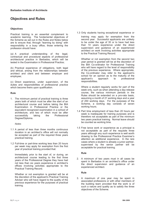# **Objectives and Rules**

#### **Objectives**

Practical training is an essential complement to academic learning. The fundamental objectives of the Scheme as set out in the Rules and Notes below are to ensure that, through "learning by doing" with responsibility in a busy office, those entering the profession should have:

(a) A practical understanding of the legal, contractual and procedural aspects of professional architectural practice in Barbados, which will be tested in the Examination in Professional Practice;

(b) Practical experience of obligations, both legal and ethical, arising from the relationships between architect and client and between employer and employee;

(c) Direct experience, under supervision, of the duties and responsibilities of professional practice which become theirs upon qualification.

#### **Rule**

1. The minimum period of practical training is three years both of which must be after the start of an architectural course and before taking the BIA Examination in Professional Practice or the equivalent recognized examination in a school of architecture, and two of which must be after successfully taking the Professional Degree/Diploma.

*Notes*

- 1.1 A period of less than three months continuous duration in an architect's office will not normally be accepted as part of the required three years practical training.
- 1.2 Full-time or part-time working less than 20 hours per week may apply for exemption from the first year of practical training provided that:

Immediately prior to the start of, or during, an architectural course leading to the first three years of the Professional Degree they have had not less than six years experience in architect's offices involving activities appropriate to the Practical Training Record.

Whether or not exemption is granted will be at the discretion of the applicant's Practical Training Adviser who will have regard to the quality of the previous experience for the purposes of practical training.

1.3 Only students having exceptional experience or

training may apply for exemption from the second year. Successful applicants are unlikely to be under the age of 35 or to have had less than 10 years experience under the direct supervision and guidance of an experienced architect on work involving activities appropriate to the Practical Training Record.

Whether or not exemption from the second two year period is granted will be at the discretion of the BIA Co-ordinator for Professional Training who will have regard to the level of responsibility of the previous experience. Where appropriate, the Co-ordinator may refer to the applicant's school for an opinion as to the maturity of the applicant's approach to professional responsibilities.

Where a student regularly works for part of the week only, such as when attending a day-release course, the various minimum periods in the Rules should be extended on a pro-rata basis, assuming a month of 21 working days and a year of 250 working days. For the purposes of the Scheme, a working day consists of seven working hours.

- 1.4 Part time employment of less than 20 hours per week is inadequate for training purposes and is therefore not acceptable as part of the minimum two years practical training. Normal leave should be counted as working time.
- 1.5 Free lance work or experience as a principal is not acceptable as part of the requisite three years although any such experience is well worth drawing to the Professional Practice Examiner's attention as additional experience. In the rare cases where a student is already a junior partner, supervised by the senior partner will be acceptable for practical training.

#### **Rule**

2. A minimum of two years must in all cases be spent in Barbados in an architect's office under the direct supervision and guidance of an experienced architect.

#### **Rule**

3. A maximum of one year may be spent in associated professions or with other members of the building team provided that the work is of such a nature and quality as to satisfy the three objectives of the Scheme.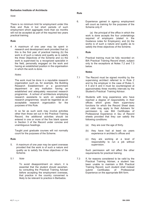#### *Note*

There is no minimum limit for employment under this Rule and Rule 4 but short periods of such employment which aggregate more than six months will not be accepted as part of the required two years practical training.

#### **Rule**

4 A maximum of one year may be spent in research and development work provided that (a) this is the first year of practical training (b) the work is of such a nature and quality as to satisfy the three Objectives of the Scheme and (c) the work is supervised by a recognized specialist in the field, personally engaged on the work and having an established position in the organisation in which the work is done.

#### *Notes*

The work must be done in a reputable research organization such as, for example, the Building Research Establishment or a government department or any institution having an established and adequately resourced research programme. A school of architecture employing research assistants to work on established research programmes would be regarded as an acceptable research organization for the purposes of this Rule.

In so far as such work may involve activities other than those set out in the Practical Training Record, the additional activities should be entered in one or more of the five blank spaces in Section 3 of the Record under concise and unambiguous headings.

Taught post graduate courses will not normally count for the purposes of the Scheme.

#### **Rule**

- 5. A maximum of one year may be spent overseas provided that the work is of such a nature and quality as to satisfy the three objectives of the Scheme.
- 5.1 *Note*

To avoid disappointment on return, it is essential that the student should ascertain, by consulting the Practical Training Adviser before accepting the employment overseas, that practice in the country concerned is likely to be relevant to practice in Barbados.

#### **Rule**

6. Experience gained in agency employment will count as training for the purposes of the Scheme only if:

> (a) the principal of the office in which the work is done accepts the four undertakings required of employers (stated in the Guidance notes for Employers); and (b) the works is of such a nature and quality as to satisfy the three objectives of the Scheme.

#### **Rule**

7. Practical training must be fully recorded on BIA Practical Training Record sheet, subject only to the exceptions at Notes 7.2 and 7.3 below.

#### **Notes**

- 7.1 The Record must be signed monthly by the supervising architect referred to in Rule 2 and by the employer in the case of Rules 3, 4 5 and 6 and it must be countersigned at approximately three monthly intervals by the Student's Practical Training Advisor.
- 7.2 Students with long experience who have reached a degree of responsibility in their offices which gives them supervisory functions for which the Record Sheet does not cater may apply to their Advisers for permission to use BIA Certificates of Professional Experience in lieu of Record sheets provided that they can satisfy the following conditions:
	- (a) they are over the age of thirty.
	- (b) they have had at least six years experience in architect's offices and
	- (c) they are working at a level of responsibility to run a job without supervision.

Such permission will not affect the other requirements for practical training.

7.3 If, for reasons considered to be valid by the Practical Training Adviser, a student has been unable to maintain a BIA Practical Training Record, such student shall instead<br>submit Certificates of Professional submit Certificates of Professional Experience on the appropriate BIA form.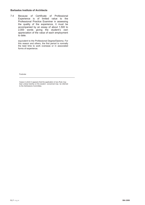7.4 Because of Certificate of Professional Experience is of limited value to the Professional Practice Examiner in assessing the quality of the experience, it must be accompanied by an essay of about 1,500 to 2,000 words giving the student's own appreciation of the value of each employment to date.

> equivalent to the Professional Degree/Diploma. For this reason and others, the first period is normally the best time to work overseas or in associated forms of experience.

Footnote:

Cases in which it appears that the application of any Rule may bear unduly harshly on the student concerned may be referred to the Admissions Committee.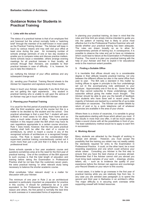# **Guidance Notes for Students in Practical Training**

#### **1. Links with the school**

The status of a practical trainee is that of an employee first and foremost but the school normally holds a "watching brief" through the member of its staff known in most cases as the Practical Training Adviser. The Adviser will keep in touch by various means and may well visit your office at least once during the year. An increasing number of schools arrange seminars of one or two day duration to enable you to compare notes and discuss practice matters. Some schools issue a newsletter, others arrange evening meetings for all practical trainees in their locality, all schools through their Advisers, are available to their practical trainees in case of difficulty. It is, however, for you to take the initiative in:

(a) notifying the Adviser of your office address and any subsequent change and

(b) sending your Practical Training Record sheets to the Adviser for inspection and signature every three months.

Keep in touch your Adviser, especially if you think that you are not getting the right experience. Any student in practical training who is unable to call upon the advice of an Adviser may get in touch with the BIA Adviser.

#### **2. Planning your Practical Training**

It is usual for the first period of practical training to be taken after the third academic year of the course but this is a matter to be decided by the student and the school. One practical advantage is that a post Part 1 student will earn sufficient in most cases to live away from home and so enjoy a much wider choice of office. There is complete freedom in this respect under the BIA which may have its own regulations appropriate to a certain course structure. Rule 1 does insists, however, that the two years practical training shall both be after the start of a course in architecture, by which is meant a course in any of the recognized schools of architecture or a recognized foreign course. This Rule is based on the consideration that supervised practical training conscientiously carried out it much more than just a job and that it is likely to be at a professional level.

Some schools operate a four year academic course and questions sometimes arise at to the need for the third year of practical training. One of the conditions of the BIA approval to such courses is that the total length of education and training before taking the Examination in Professional Practice shall be not less than the customary seven years. the extra practical training "or other relevant study being necessary to balance the shorter academic course.

What constitutes "other relevant study" is a matter for discussion with your Adviser.

The minimum of one year in Rule 2 as an architectural assistant is particularly important as preparation for practice in this country. It should for preference be at a point equivalent to the Professional Degree/Diploma. For this reason and others, the first period is normally the best time to work overseas or in associated forms of experience.

In planning your practical training, do bear in mind that the rules and time limit are simply minima intended to guide you into the pattern of training that is likely to prove most effective but it is the Professional Practice Examiner who will decide whether your practical training has been adequate. The rules are drawn broadly so as to allow for complementary periods of training but, in consequence, it is possible to observe the rules and yet to have an imbalance which could lead to failure at the Examination in Professional Practice. The moral is to plan your practical training with the help of your Adviser and then to exploit it for educational ends to the maximum extent possible.

#### **3. Finding a Suitable Office**

It is inevitable that offices should vary to a considerable degree in their attitude towards practical training, not only between the different offices but also in the same office from year to year. The BIA sets a standard in this matter by inviting offices to agree in principle to the four undertakings set out in the accompanying note addressed to your employer. Approximately one in five do so. Some firms feel that they cannot subscribe to these undertakings; others subscribe without giving the matter much thought. Adviser should be able to give you the benefit of feedback from students who have done well in recent years. The majority of Advisers are backed by a central file of up-to-date information on vacancies. The Adviser can obtain details by return of post or by a quick telephone call of whatever vacancies are available in the area of your choice.

Where there is a choice of vacancies, it is sensible to group the applications starting with those which attract you most. If this results in more than one offer, it will be much easier to make a sound choice with all the possibilities in front of you. The least satisfactory method would be to apply to each firm in succession.

#### **4. Working Abroad**

Many students are attracted by the thought of working in Europe and abroad. However, you must accept the possibility that the training you obtain may not readily satisfy the standards required for entry to the Examination in Professional Practice. It could, on the other hand, be a most rewarding experience and one which could enhance your whole career. Consulting you Adviser is the first step to ensure that you have the best chance of success abroad. Remember that if the Adviser cannot visit you abroad you must bring back samples of your work – drawings, photos, letters, etc. – such as to evidence the quality of your experience before the Adviser can approve and countersign your Record Sheets on your return to this country.

In most cases, it is better to go overseas in the first year of practical training while you are relatively free from ties. In any case you are advised (see paragraph 2) to spend the second and third year in Barbados in an architect's office. The major difficulty is in securing work overseas while supporting oneself with limited resources.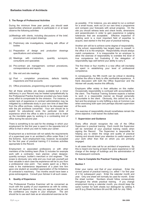#### **5. The Range of Professional Activities**

During the minimum three year period, you should seek opportunities whenever possible to participate in or at least observe the following activities:

- (a)Meetings with clients, including discussions of the brief, procurement and project drawings
- (b) Preliminary site investigations, meeting with officer of bodies
- (c) Preparation of design and production drawings specifications and schedules
- (d) Meetings with contractors, quantity surveyors, consultants and specialists
- (e) Pre-contract job management, contract procedures, correspondence and reports
- (f) Site visit and site meetings
- (g) Post completion procedures, defects liability inspections and final accounts
- (h) Office procedures, programming and organisation

Not all these activities are always available but a minor deficiency in your Record may be treated sympathetically by the Professional Practice Examiner provided you have made every effort to compensate for the omission. For instance, a certain lack of experience in contract administration may be mitigated by a deliberate study in your own time of dead files from the office archives, noting points to be discussed later with the job architects concerned. Your aim should be to exploit for educational ends the particular kinds of experience which the office is able to provide and to make up the inevitable gaps by working in a contrasting kind of office during the second year.

There is something to be said for the strategy in which your employment for the first year is spent in the opposite kind of office to that in which you wish to make your career.

Employment as a technician will not satisfy the requirements of a supervised year in an architect's office under Rule 2 of the Scheme. Such employment may, however, be accepted for the first year of practical training if it involves activities appropriate to the Record.

Employment in associated professions or with other members of the building team (Rule 3) includes for example work with a contractor, town planner, urban designer, quantity surveyor, builder's merchant or civil engineer. The scope is obviously very wide and you must ask yourself just how valuable in each case the experience will be to you from a professional view point. Two weeks spent as a fitter's mate in the maintenance department of a plant hire firm gave one student an excellent appreciation of the limitations of contractor's machinery. Two months would have been a gross extravagance. Consult your Adviser in all such cases.

#### **6. Quality of Experience**

The Professional Practice Examiner will be concerned as much with the quality of your experience as with its variety. So much will depend on the way you approach the job and the confidence you inspire in your employer. The aim should be to use each task as an educational exercise as far

as possible. If for instance, you are asked to run a contract for a small house, work out (in our own time) a programme and compare your forecasts with actual progress. On the site you should witness tests and check levels, dimensions and perpendiculars in order to gain experience in judging tolerances that are acceptable. Effective inspection of building work is a most important field of expertise to acquire, best started in the first year of practical training.

Another aim will be to achieve some degree of responsibility. In the school, responsibility has largely been to oneself, in the office it is to the employer. Responsibility should always match competence. It is irresponsible for an employer to allow the exercise of responsibility to overtake the level of true competence but frustrating if the delegation of responsibility lags well behind your ability to carry it.

The first three or four months in a new office will inevitably be spent in establishing your level of professional competence.

In consequence, the fifth month can be critical in deciding whether the office is likely to offer worthwhile experience. A frank discussion with both the Office Supervisor and the Adviser will usually resolve this difficulty.

Employers differ widely in their attitudes on this matter. Occasionally responsibility is confused with accountability to the client. The Practical Training Scheme expects a trainee to work in a responsible manner as though personally accountable to the client. Obviously, this cannot be so, in fact and the employer is only fulfilling a duty at Common Law when exercising both open and perhaps discreet supervision of the work.

The exercise of responsibility should nonetheless remain the prime objective; it will leaven the dullest task.

#### **7. Supervision and Guidance**

Every office should recognize the role of the Office Supervisor in practical training. Each month the Supervisor will be reminded of your practical training needs when signing the Record. The Supervisor is responsible for helping you to obtain the range and quality of practical training and should direct your attention to useful aspects of your work other than that on which you are primarily engaged.

In all cases that rules call for an architect of experience. By this is meant one having at least five years experience in full charge of the design of buildings and the administration of the subsequent contracts.

#### **8. How to Complete the Practical Training Record**

#### **Section 1**

Enter your name, and that of your employer. Enter the correct period of practical training (i.e. either 1 for first year of 2 for subsequent year). Enter the calendar month and year. Only one sheet will normally be used for month. Enter the sheet number. Numbers should follow consecutively throughout the whole practical training. If you change employment during a calendar month, you should keep the same number for both sheets but distinguish by adding A and B (e.g Sheet Numbers 6A and 6B, both for July 1994).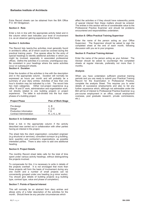Extra Record sheets can be obtained from the BIA Office P.O. 951 Bridgetown.

#### **Section 2: Role**

Enter a tick in line with the appropriate activity listed and in the column which best indicates your level of involvement (i.e. as an observer gaining experience at first hand).

#### **Section 3: Activities**

The Record lists twenty-five activities most generally found in architect's office, all of which could be covered during the practical training years. Five spaces allow for the entry of special headings to identify additional activities in which you might be involved, especially in associated professional offices. Define the activities in a concise, unambiguous way. Be consistent in your headings where the same activities occur on subsequent sheets.

#### **Section 4: Duration**

Enter the duration of the activities in line with the description and in the appropriate column. Duration will normally be expressed as hours per month and will probably be a summary of your diary entries. Activities of less than one hour's duration may be indicated by a tick. The record lists two main categories. Either non-project experience (e.g office "R and D" work, administration and organistation work, not directly related to one building project) or project experience. The latter is sub-divided into the four main phases of a building project:

| <b>Project Phase</b>           | <b>Plan of Work Stage</b> |
|--------------------------------|---------------------------|
|                                |                           |
| Pre-design                     | A.B                       |
| Design                         | C. D E                    |
| Production Information         | F.G                       |
| <b>Contract Administration</b> | H, J, K, L, M             |

#### **Section 5: In Collaboration**

Enter a tick in the appropriate column if the activity described was carried out in collaboration with other parties having an interest in the project.

The sheet lists the client organization; consultant engineer (e.g structural or services); consultant surveyor (e.g building, land, quantity) and contractor's organizations, as possible interested parties. There is also room to add one additional heading.

#### **Sect**i**on 6: Project Details**

The monthly Record sheet table calls for the total of time spent under various activity headings, without distinguishing the projects involved.

To compensate for this, it is necessary to write in details of the projects overleaf. It is not envisaged that more than three projects will form the basis of involvement during any one month and a number of small projects can be conveniently grouped under one heading (e.g minor works). You should give details of building projects (e.g building type, contract type, value and phase of completion).

#### **Section 7: Points of Special Interest**

This will normally be an abstract from diary entries and allows entry of a fuller description of the activities for the month. Should there be any peculiar circumstances which

affect the activities or if they should have noteworthy points of special interest then these matters should be entered. The entries in this section will be of considerable value to the Professional Practice Examiner and should list problems encountered and responsibilities undertaken.

#### **Section 8: Office Practical Training Supervisor**

Enter the name of the person acting as your Office Supervisor. The Supervisor should be asked to sign the completed sheet at the end of each month, following discussion with you as to your progress.

#### **Section 9: Practical Training Adviser**

Enter the name of the person acting as your Adviser. The Adviser should be asked to countersign the completed sheets at regular intervals, preferably not more than 3 months.

#### **Analysis**

When you have undertaken sufficient practical training periods and you are ready to submit your Practical Training Record for the Examination in Professional Practice, complete the analysis Sheet. This requires you to enter details of successive employments and also to list any further experience which, although not admissible under the BIA will be of interest to Professional Practice Examiner (e.g pre-course employment in an office, casual employment overseas, post graduate research, private commissions, etc.).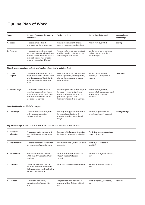# **2** Outline Plan of Work

| Stage                        | Purpose of work and decisions to<br>be reached                                                                                                                                                                               | Tasks to be done                                                                                                                                                                                                           | People directly Involved                                                                                                      | Commonly used<br>terminology |
|------------------------------|------------------------------------------------------------------------------------------------------------------------------------------------------------------------------------------------------------------------------|----------------------------------------------------------------------------------------------------------------------------------------------------------------------------------------------------------------------------|-------------------------------------------------------------------------------------------------------------------------------|------------------------------|
| A. Inception                 | To prepare general outline of<br>requirements and plan for future action                                                                                                                                                     | Set up client organisation for briefing.<br>Consider requirements, appoint architect.                                                                                                                                      | All client interests, architect.                                                                                              | <b>Briefing</b>              |
| <b>B.</b> Feasibility        | To provide tthe client with an appraisal<br>and recommendation in order that he may<br>determine the form in which the project is<br>to proceed, ensuring that it is feasible,<br>functionally, technically and financially. | Carry out studies of user requirements, site<br>conditions, planning, design and cost, etc.<br>as necessary to reach decisions.                                                                                            | Client's representatives, architects,<br>engineers and Q.S. according to<br>nature of project.                                |                              |
|                              | Stage C begins when the architect's brief has been determined in sufficient detail.                                                                                                                                          |                                                                                                                                                                                                                            |                                                                                                                               |                              |
| C. Outline<br>Proposal       | To determine general approach to layout,<br>design and construction in order to obtain<br>authoritative approval of the client on the<br>outline proposals and accompanying<br>report.                                       | Develop the brief further. Carry out studies<br>on user requirements, technical problems,<br>planning, design and costs, as necessary<br>to reach decisions.                                                               | All client interests, architects,<br>engineers, Q.S. and specialist as<br>required.                                           | <b>Sketch Plans</b>          |
| D. Scheme Design             | To complete the brief and decide on<br>particular proposals, including planning<br>arrangement appearance, constructional<br>method, outline specification and cost<br>and to obtain all approvals.                          | Final development of the brief, full design of<br>the project by the architect, preliminary<br>design by engineers, preparation of cost<br>plan and full explanatory report.<br>Submission of proposals for all approvals. | All client interests, architects,<br>engineers, Q.S. and specialists and all<br>statutory and other approving<br>authorities. |                              |
|                              | Brief should not be modified after this point.                                                                                                                                                                               |                                                                                                                                                                                                                            |                                                                                                                               |                              |
| E. Detail Design             | To obtain final decision on every matter<br>related to design, specification,<br>construction and cost.                                                                                                                      | Full design of every part and component of<br>the building by collaboration of all<br>concerned. Complete cost checking of<br>designs.                                                                                     | Architects, engineers, Q.S. and<br>specialists contractor (if appointed).                                                     | Working drawings             |
|                              | Any further change in location, size, shape, of cost after this time will result in abortive work.                                                                                                                           |                                                                                                                                                                                                                            |                                                                                                                               |                              |
| F. Production<br>Information | To prepare production information and<br>make final detailed decisions to carry out<br>work.                                                                                                                                 | Preparation of final production information<br>i.e. drawings, schedules and specifications                                                                                                                                 | Architects, engineers, and specialists<br>contractor (if appointed).                                                          |                              |
| G. Bills of Quantities       | To prepare and complete all information<br>and arrangements for obtaining tender.                                                                                                                                            | Preparation of Bills of Quantities and tender<br>documents.                                                                                                                                                                | Architects, Q.S, Contractor (if<br>appointed)                                                                                 |                              |
| H. Tender Action             | Actions as recommended in relevant<br>NJCC. Code of Procedure for Selective<br>Tendering.                                                                                                                                    | Action as recommended in relevant NJCC.<br>Code of Procedure for Selective<br>Tendering.                                                                                                                                   | Architects, Q.S, engineers, contractor,<br>client                                                                             |                              |
| L. Completion                | To hand over the building to the client for<br>occupation, remedy any defects, settle<br>the final account and complete all work in<br>accordance with the contract.                                                         | Action in accordance with BIA Plan of Work                                                                                                                                                                                 | Architects, engineers, contractor, Q.S.<br>client                                                                             |                              |
| M. Feedback                  | To analyse the management,<br>construction and performance of the<br>project.                                                                                                                                                | Analysis of job records, inspections of<br>completed building. Studies of building in<br>use.                                                                                                                              | Architect, engineer, QS Contractor,<br>client                                                                                 | Feedback                     |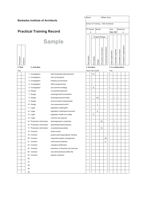|                 | 1. Name<br><b>Barbados Institute of Architects</b> |                                         |                                                |  |                                   |            |        |                        | <b>William Grey</b>     |                     |                     |                     |                           |  |
|-----------------|----------------------------------------------------|-----------------------------------------|------------------------------------------------|--|-----------------------------------|------------|--------|------------------------|-------------------------|---------------------|---------------------|---------------------|---------------------------|--|
|                 |                                                    |                                         |                                                |  | School of Training CDS Architects |            |        |                        |                         |                     |                     |                     |                           |  |
|                 |                                                    |                                         |                                                |  | PT Period<br>Month                |            |        |                        |                         | Year                |                     |                     | Sheet No.                 |  |
|                 |                                                    | <b>Practical Training Record</b>        |                                                |  | 2                                 |            |        |                        |                         |                     | Dec-94              |                     | 4                         |  |
|                 |                                                    |                                         |                                                |  |                                   |            |        | <b>Project Phases</b>  |                         |                     |                     |                     |                           |  |
|                 |                                                    |                                         | <b>Sample</b>                                  |  |                                   |            |        |                        |                         |                     |                     |                     |                           |  |
|                 |                                                    |                                         |                                                |  |                                   |            |        |                        |                         |                     |                     |                     |                           |  |
|                 |                                                    |                                         |                                                |  |                                   |            |        |                        |                         |                     |                     |                     | Contractor's organisation |  |
|                 |                                                    |                                         |                                                |  |                                   |            |        | Production information | Contract administration | Client organisation | Consultant engineer | Consultant surveyor |                           |  |
|                 |                                                    |                                         |                                                |  |                                   |            |        |                        |                         |                     |                     |                     |                           |  |
| Participant     | Observer                                           |                                         |                                                |  | Non-project                       | Pre-design | Design |                        |                         |                     |                     |                     |                           |  |
|                 |                                                    |                                         |                                                |  |                                   |            |        |                        |                         |                     |                     |                     |                           |  |
| 2. Role<br>Tick |                                                    | 3. Activities                           |                                                |  | 4. Duration                       |            |        |                        |                         |                     | 5. In collaboration |                     |                           |  |
|                 |                                                    | 1. Investigation                        | brief preparation/development                  |  | Hours per month                   | 27         |        |                        |                         | Tick<br>✓           |                     |                     |                           |  |
|                 |                                                    | 2. Investigation                        | site survey/report                             |  |                                   |            |        |                        |                         |                     |                     |                     |                           |  |
|                 |                                                    | 3. Investigation                        | building survey/report                         |  |                                   |            |        |                        |                         |                     |                     |                     |                           |  |
|                 |                                                    | 4. Investigation                        | office programming                             |  |                                   |            |        |                        |                         |                     |                     |                     |                           |  |
|                 |                                                    | 5. Investigation                        | procurement strategy                           |  |                                   | 8          |        |                        |                         | ✓                   |                     | ✓                   |                           |  |
|                 |                                                    | 6. Design                               | concept/development                            |  |                                   |            |        |                        |                         |                     |                     |                     |                           |  |
|                 |                                                    | 7. Design                               | meetings/client/consultants                    |  |                                   |            |        |                        |                         |                     |                     |                     |                           |  |
|                 |                                                    | 8. Design                               | drawings/reports/models                        |  |                                   |            | 40     |                        |                         |                     | $\checkmark$        | ✓                   |                           |  |
|                 |                                                    | 9. Design                               | environmental analysis/tests                   |  |                                   |            |        |                        |                         |                     |                     |                     |                           |  |
|                 |                                                    | 10. Design                              | cost awareness/control                         |  |                                   |            | 1      |                        |                         |                     |                     | ✓                   |                           |  |
|                 |                                                    | 11. Legal                               | legislation building/fire                      |  |                                   |            |        |                        |                         |                     |                     |                     |                           |  |
|                 |                                                    | 12. Legal                               | legislation building/environment               |  |                                   |            | 6      |                        |                         |                     |                     |                     |                           |  |
|                 |                                                    | 13. Legal                               | legislation health and safety                  |  |                                   | 3          |        |                        |                         |                     |                     |                     |                           |  |
|                 |                                                    | 14. Legal<br>15. Production information | common law aspects<br>drawings/drawn schedules |  |                                   |            |        | 26                     |                         |                     | $\checkmark$        |                     |                           |  |
|                 |                                                    | 16. Production information              | specification/bill/schedules                   |  |                                   |            |        |                        |                         |                     |                     |                     |                           |  |
|                 |                                                    | 17. Production information              | consultants/specialists                        |  |                                   |            |        | 12                     |                         |                     | $\checkmark$        | $\checkmark$        | ✓                         |  |
|                 |                                                    | 18. Contract                            | tender action                                  |  |                                   |            |        |                        |                         |                     |                     |                     |                           |  |
|                 |                                                    | 19. Contract                            | project planning/progress meeting              |  |                                   |            |        |                        |                         |                     |                     |                     |                           |  |
|                 |                                                    | 20. Contract                            | inspection/quality management                  |  |                                   |            |        |                        | 18                      |                     |                     |                     | ✓                         |  |
|                 |                                                    | 21. Contract                            | instructions/variations                        |  |                                   |            |        |                        | 4                       |                     |                     | ✓                   |                           |  |
|                 |                                                    | 22. Contract                            | valuation/certification                        |  |                                   |            |        |                        |                         |                     |                     |                     |                           |  |
|                 |                                                    | 23. Contract                            | extension of time/loss and expense             |  |                                   |            |        |                        |                         |                     |                     |                     |                           |  |
|                 |                                                    | 24. Contract                            | records/maintenance/h&s file                   |  |                                   |            |        |                        |                         |                     |                     |                     |                           |  |
|                 |                                                    | 25. Contract                            | dispute resolution                             |  |                                   |            |        |                        |                         |                     |                     |                     |                           |  |
|                 |                                                    | 26.                                     |                                                |  |                                   |            |        |                        |                         |                     |                     |                     |                           |  |
|                 |                                                    | 27.                                     |                                                |  |                                   |            |        |                        |                         |                     |                     |                     |                           |  |
|                 |                                                    | 28.                                     |                                                |  |                                   |            |        |                        |                         |                     |                     |                     |                           |  |
|                 |                                                    | 29.                                     |                                                |  |                                   |            |        |                        |                         |                     |                     |                     |                           |  |
|                 |                                                    | 30.                                     |                                                |  |                                   |            |        |                        |                         |                     |                     |                     |                           |  |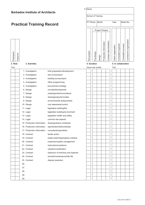|             |          | <b>Barbados Institute of Architects</b> |                                    | 1. Name                                 |  |                       |        |                        |                         |                     |                     |                     |                           |  |  |
|-------------|----------|-----------------------------------------|------------------------------------|-----------------------------------------|--|-----------------------|--------|------------------------|-------------------------|---------------------|---------------------|---------------------|---------------------------|--|--|
|             |          |                                         |                                    | School of Training                      |  |                       |        |                        |                         |                     |                     |                     |                           |  |  |
|             |          | <b>Practical Training Record</b>        |                                    | PT Period<br>Month<br>Year<br>Sheet No. |  |                       |        |                        |                         |                     |                     |                     |                           |  |  |
|             |          |                                         |                                    |                                         |  | <b>Project Phases</b> |        |                        |                         |                     |                     |                     |                           |  |  |
|             |          |                                         |                                    |                                         |  |                       |        |                        |                         |                     |                     |                     |                           |  |  |
| Participant | Observer |                                         |                                    | Non-project                             |  | Pre-design            | Design | Production information | Contract administration | Client organisation | Consultant engineer | Consultant surveyor | Contractor's organisation |  |  |
| 2. Role     |          | 3. Activities                           |                                    | 4. Duration                             |  |                       |        |                        |                         |                     |                     | 5. In collaboration |                           |  |  |
| Tick        |          |                                         |                                    | Hours per month                         |  |                       |        |                        |                         | <b>Tick</b>         |                     |                     |                           |  |  |
|             |          | 1. Investigation                        | brief preparation/development      |                                         |  |                       |        |                        |                         |                     |                     |                     |                           |  |  |
|             |          | 2. Investigation                        | site survey/report                 |                                         |  |                       |        |                        |                         |                     |                     |                     |                           |  |  |
|             |          | 3. Investigation                        | building survey/report             |                                         |  |                       |        |                        |                         |                     |                     |                     |                           |  |  |
|             |          | 4. Investigation                        | office programming                 |                                         |  |                       |        |                        |                         |                     |                     |                     |                           |  |  |
|             |          | 5. Investigation                        | procurement strategy               |                                         |  |                       |        |                        |                         |                     |                     |                     |                           |  |  |
|             |          | 6. Design                               | concept/development                |                                         |  |                       |        |                        |                         |                     |                     |                     |                           |  |  |
|             |          | 7. Design                               | meetings/client/consultants        |                                         |  |                       |        |                        |                         |                     |                     |                     |                           |  |  |
|             |          | 8. Design                               | drawings/reports/models            |                                         |  |                       |        |                        |                         |                     |                     |                     |                           |  |  |
|             |          | 9. Design                               | environmental analysis/tests       |                                         |  |                       |        |                        |                         |                     |                     |                     |                           |  |  |
|             |          | 10. Design                              | cost awareness/control             |                                         |  |                       |        |                        |                         |                     |                     |                     |                           |  |  |
|             |          | 11. Legal                               | legislation building/fire          |                                         |  |                       |        |                        |                         |                     |                     |                     |                           |  |  |
|             |          | 12. Legal                               | legislation building/environment   |                                         |  |                       |        |                        |                         |                     |                     |                     |                           |  |  |
|             |          | 13. Legal                               | legislation health and safety      |                                         |  |                       |        |                        |                         |                     |                     |                     |                           |  |  |
|             |          | 14. Legal                               | common law aspects                 |                                         |  |                       |        |                        |                         |                     |                     |                     |                           |  |  |
|             |          | 15. Production information              | drawings/drawn schedules           |                                         |  |                       |        |                        |                         |                     |                     |                     |                           |  |  |
|             |          | 16. Production information              | specification/bill/schedules       |                                         |  |                       |        |                        |                         |                     |                     |                     |                           |  |  |
|             |          | 17. Production information              | consultants/specialists            |                                         |  |                       |        |                        |                         |                     |                     |                     |                           |  |  |
|             |          | 18. Contract                            | tender action                      |                                         |  |                       |        |                        |                         |                     |                     |                     |                           |  |  |
|             |          | 19. Contract                            | project planning/progress meeting  |                                         |  |                       |        |                        |                         |                     |                     |                     |                           |  |  |
|             |          | 20. Contract                            | inspection/quality management      |                                         |  |                       |        |                        |                         |                     |                     |                     |                           |  |  |
|             |          | 21. Contract                            | instructions/variations            |                                         |  |                       |        |                        |                         |                     |                     |                     |                           |  |  |
|             |          | 22. Contract                            | valuation/certification            |                                         |  |                       |        |                        |                         |                     |                     |                     |                           |  |  |
|             |          | 23. Contract                            | extension of time/loss and expense |                                         |  |                       |        |                        |                         |                     |                     |                     |                           |  |  |
|             |          | 24. Contract                            | records/maintenance/h&s file       |                                         |  |                       |        |                        |                         |                     |                     |                     |                           |  |  |
|             |          | 25. Contract                            | dispute resolution                 |                                         |  |                       |        |                        |                         |                     |                     |                     |                           |  |  |
|             |          | 26.                                     |                                    |                                         |  |                       |        |                        |                         |                     |                     |                     |                           |  |  |
|             |          | 27.                                     |                                    |                                         |  |                       |        |                        |                         |                     |                     |                     |                           |  |  |
|             |          | 28.                                     |                                    |                                         |  |                       |        |                        |                         |                     |                     |                     |                           |  |  |
|             |          | 29.                                     |                                    |                                         |  |                       |        |                        |                         |                     |                     |                     |                           |  |  |
|             |          | 30.                                     |                                    |                                         |  |                       |        |                        |                         |                     |                     |                     |                           |  |  |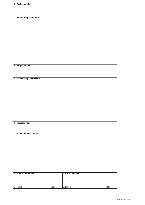**6. Project details**

**7. Points of Special interest**

**6. Project details**

**7. Points of Special interest**

**6. Project details**

**7. Points of special interest**

| 8. Office PT Supervisor |      | 9. BIA PT Adviser |      |  |  |  |  |  |  |  |
|-------------------------|------|-------------------|------|--|--|--|--|--|--|--|
|                         |      |                   |      |  |  |  |  |  |  |  |
|                         |      |                   |      |  |  |  |  |  |  |  |
|                         |      |                   |      |  |  |  |  |  |  |  |
| Signature               | Date | Signature         | Date |  |  |  |  |  |  |  |